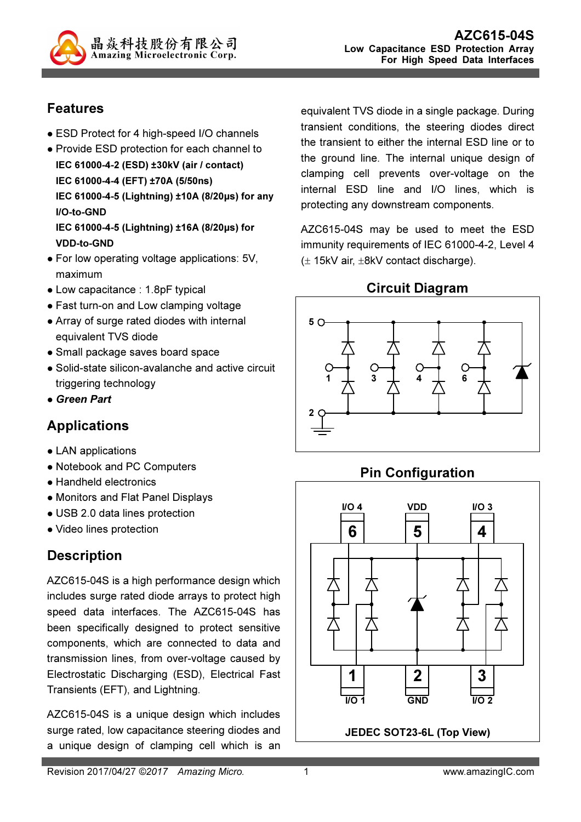

### Features

- ESD Protect for 4 high-speed I/O channels
- Provide ESD protection for each channel to IEC 61000-4-2 (ESD) ±30kV (air / contact) IEC 61000-4-4 (EFT) ±70A (5/50ns) IEC 61000-4-5 (Lightning) ±10A (8/20µs) for any I/O-to-GND IEC 61000-4-5 (Lightning) ±16A (8/20µs) for VDD-to-GND
- For low operating voltage applications: 5V, maximum
- Low capacitance : 1.8pF typical
- Fast turn-on and Low clamping voltage
- Array of surge rated diodes with internal equivalent TVS diode
- Small package saves board space
- Solid-state silicon-avalanche and active circuit triggering technology
- Green Part

## Applications

- LAN applications
- Notebook and PC Computers
- Handheld electronics
- Monitors and Flat Panel Displays
- USB 2.0 data lines protection
- Video lines protection

## **Description**

AZC615-04S is a high performance design which includes surge rated diode arrays to protect high speed data interfaces. The AZC615-04S has been specifically designed to protect sensitive components, which are connected to data and transmission lines, from over-voltage caused by Electrostatic Discharging (ESD), Electrical Fast Transients (EFT), and Lightning.

AZC615-04S is a unique design which includes surge rated, low capacitance steering diodes and a unique design of clamping cell which is an

equivalent TVS diode in a single package. During transient conditions, the steering diodes direct the transient to either the internal ESD line or to the ground line. The internal unique design of clamping cell prevents over-voltage on the internal ESD line and I/O lines, which is protecting any downstream components.

AZC615-04S may be used to meet the ESD immunity requirements of IEC 61000-4-2, Level 4 (± 15kV air, ±8kV contact discharge).

Circuit Diagram



# Pin Configuration

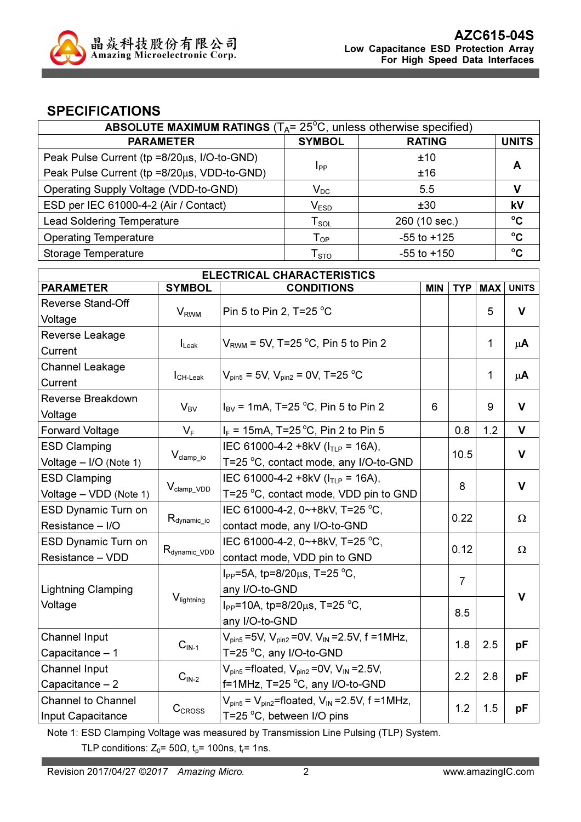

### SPECIFICATIONS

| ABSOLUTE MAXIMUM RATINGS ( $T_A$ = 25 <sup>°</sup> C, unless otherwise specified) |                             |                 |              |  |
|-----------------------------------------------------------------------------------|-----------------------------|-----------------|--------------|--|
| <b>PARAMETER</b>                                                                  | <b>SYMBOL</b>               | <b>RATING</b>   | <b>UNITS</b> |  |
| Peak Pulse Current (tp =8/20µs, I/O-to-GND)                                       |                             | ±10             |              |  |
| Peak Pulse Current (tp =8/20µs, VDD-to-GND)                                       | <b>I</b> pp                 | ±16             | А            |  |
| Operating Supply Voltage (VDD-to-GND)                                             | $\mathsf{V}_\mathsf{DC}$    | 5.5             |              |  |
| ESD per IEC 61000-4-2 (Air / Contact)                                             | $\mathsf{V}_{\texttt{ESD}}$ | ±30             | kV           |  |
| <b>Lead Soldering Temperature</b>                                                 | $T_{SOL}$                   | 260 (10 sec.)   | $\rm ^{o}C$  |  |
| <b>Operating Temperature</b>                                                      | $T_{OP}$                    | $-55$ to $+125$ | $\rm ^{o}C$  |  |
| Storage Temperature                                                               | ${\sf T}_{\text{STO}}$      | $-55$ to $+150$ | $^{\circ}$ C |  |

| <b>ELECTRICAL CHARACTERISTICS</b> |                                     |                                                                                   |            |                |            |              |
|-----------------------------------|-------------------------------------|-----------------------------------------------------------------------------------|------------|----------------|------------|--------------|
| <b>PARAMETER</b>                  | <b>SYMBOL</b>                       | <b>CONDITIONS</b>                                                                 | <b>MIN</b> | <b>TYP</b>     | <b>MAX</b> | <b>UNITS</b> |
| <b>Reverse Stand-Off</b>          |                                     | Pin 5 to Pin 2, T=25 $^{\circ}$ C                                                 |            |                |            |              |
| Voltage                           | <b>V<sub>RWM</sub></b>              |                                                                                   |            |                | 5          | $\mathbf v$  |
| Reverse Leakage                   |                                     | $V_{\text{RWM}}$ = 5V, T=25 °C, Pin 5 to Pin 2                                    |            |                |            |              |
| Current                           | $I_{\text{Leak}}$                   |                                                                                   |            |                | 1          | $\mu$ A      |
| Channel Leakage                   |                                     |                                                                                   |            |                |            |              |
| Current                           | $I_{CH\text{-}\text{Leak}}$         | $V_{pin5}$ = 5V, $V_{pin2}$ = 0V, T=25 °C                                         |            |                | 1          | $\mu$ A      |
| Reverse Breakdown                 |                                     |                                                                                   |            |                |            | $\mathbf v$  |
| Voltage                           | $V_{BV}$                            | $I_{\rm BV}$ = 1mA, T=25 °C, Pin 5 to Pin 2                                       | 6          |                | 9          |              |
| <b>Forward Voltage</b>            | $V_F$                               | $I_F$ = 15mA, T=25 °C, Pin 2 to Pin 5                                             |            | 0.8            | 1.2        | $\mathsf{V}$ |
| <b>ESD Clamping</b>               |                                     | IEC 61000-4-2 +8kV ( $ITIP$ = 16A),                                               |            | 10.5           |            | $\mathbf v$  |
| Voltage - I/O (Note 1)            | $V_{\text{clamp\_io}}$              | T=25 °C, contact mode, any I/O-to-GND                                             |            |                |            |              |
| <b>ESD Clamping</b>               |                                     | IEC 61000-4-2 +8kV ( $ITIP$ = 16A),                                               |            | 8              |            | $\mathbf v$  |
| Voltage - VDD (Note 1)            | $V_{\text{clamp} \text{ VDD}}$      | T=25 °C, contact mode, VDD pin to GND                                             |            |                |            |              |
| ESD Dynamic Turn on               |                                     | IEC 61000-4-2, 0~+8kV, T=25 °C,                                                   |            | 0.22           |            | Ω            |
| Resistance - I/O                  | $R_{\text{dynamic\_io}}$            | contact mode, any I/O-to-GND                                                      |            |                |            |              |
| <b>ESD Dynamic Turn on</b>        |                                     | IEC 61000-4-2, 0~+8kV, T=25 °C,                                                   |            | 0.12           |            | $\Omega$     |
| Resistance - VDD                  | $R_{\text{dynamic\_VDD}}$           | contact mode, VDD pin to GND                                                      |            |                |            |              |
|                                   |                                     | $I_{PP}$ =5A, tp=8/20 $\mu$ s, T=25 °C,                                           |            | $\overline{7}$ |            |              |
| <b>Lightning Clamping</b>         |                                     | any I/O-to-GND                                                                    |            |                |            | V            |
| Voltage                           | V <sub>lightning</sub>              | $I_{PP}$ =10A, tp=8/20 $\mu$ s, T=25 °C,                                          |            | 8.5            |            |              |
|                                   |                                     | any I/O-to-GND                                                                    |            |                |            |              |
| <b>Channel Input</b>              | $CIN-1$                             | $V_{pin5} = 5V$ , $V_{pin2} = 0V$ , $V_{IN} = 2.5V$ , f = 1MHz,                   |            | 1.8            | 2.5        | pF           |
| Capacitance - 1                   |                                     | T=25 °C, any I/O-to-GND                                                           |            |                |            |              |
| <b>Channel Input</b>              | $\mathbf{C}_{\mathsf{IN}\text{-}2}$ | $V_{pin5}$ =floated, $V_{pin2}$ =0V, $V_{IN}$ =2.5V,                              |            | 2.2            | 2.8        | pF           |
| Capacitance $-2$                  |                                     | f=1MHz, T=25 °C, any I/O-to-GND                                                   |            |                |            |              |
| <b>Channel to Channel</b>         | CCROSS                              | $V_{\text{pin5}}$ = $V_{\text{pin2}}$ =floated, $V_{\text{IN}}$ = 2.5V, f = 1MHz, |            | 1.2            | 1.5        | pF           |
| Input Capacitance                 |                                     | T=25 °C, between I/O pins                                                         |            |                |            |              |

Note 1: ESD Clamping Voltage was measured by Transmission Line Pulsing (TLP) System.

TLP conditions:  $Z_0$ = 50 $\Omega$ ,  $t_p$ = 100ns,  $t_r$ = 1ns.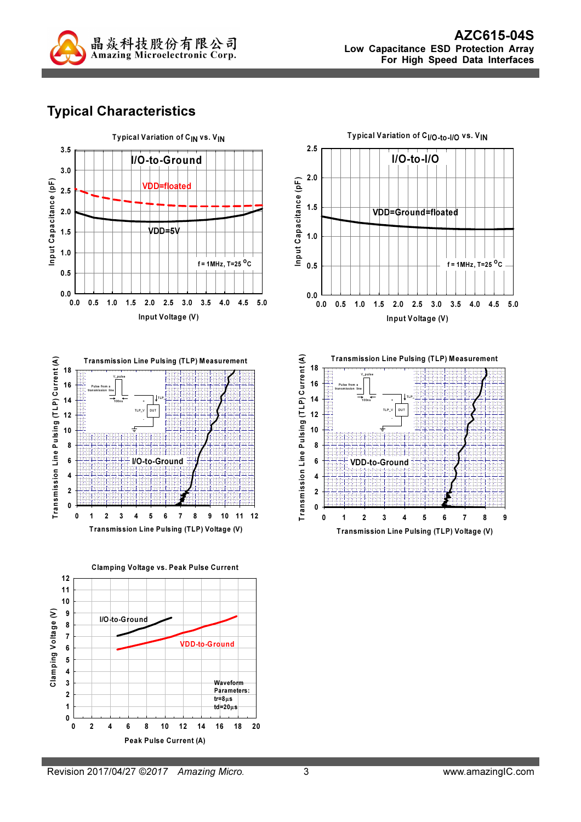

# Typical Characteristics





Clamping Voltage vs. Peak Pulse Current

12





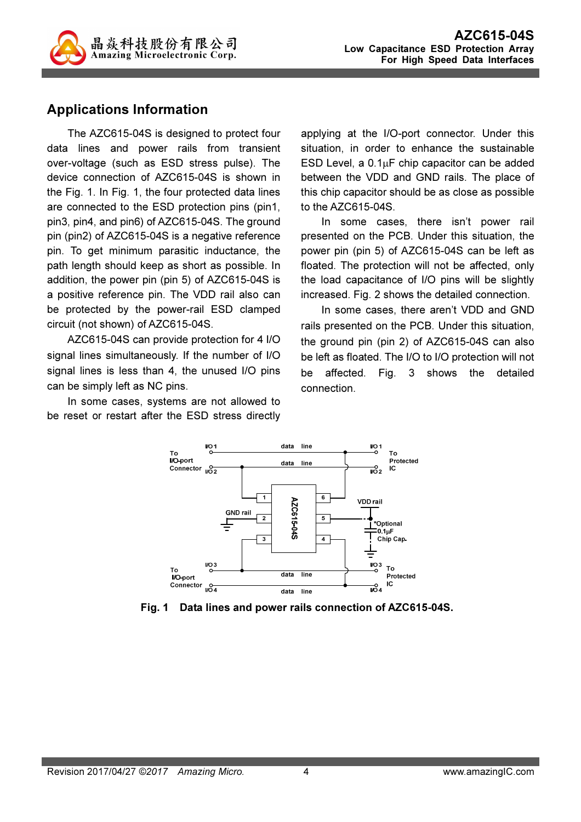

### Applications Information

The AZC615-04S is designed to protect four data lines and power rails from transient over-voltage (such as ESD stress pulse). The device connection of AZC615-04S is shown in the Fig. 1. In Fig. 1, the four protected data lines are connected to the ESD protection pins (pin1, pin3, pin4, and pin6) of AZC615-04S. The ground pin (pin2) of AZC615-04S is a negative reference pin. To get minimum parasitic inductance, the path length should keep as short as possible. In addition, the power pin (pin 5) of AZC615-04S is a positive reference pin. The VDD rail also can be protected by the power-rail ESD clamped circuit (not shown) of AZC615-04S.

AZC615-04S can provide protection for 4 I/O signal lines simultaneously. If the number of I/O signal lines is less than 4, the unused I/O pins can be simply left as NC pins.

In some cases, systems are not allowed to be reset or restart after the ESD stress directly

applying at the I/O-port connector. Under this situation, in order to enhance the sustainable ESD Level, a  $0.1\mu$ F chip capacitor can be added between the VDD and GND rails. The place of this chip capacitor should be as close as possible to the AZC615-04S.

In some cases, there isn't power rail presented on the PCB. Under this situation, the power pin (pin 5) of AZC615-04S can be left as floated. The protection will not be affected, only the load capacitance of I/O pins will be slightly increased. Fig. 2 shows the detailed connection.

In some cases, there aren't VDD and GND rails presented on the PCB. Under this situation, the ground pin (pin 2) of AZC615-04S can also be left as floated. The I/O to I/O protection will not be affected. Fig. 3 shows the detailed connection.



Fig. 1 Data lines and power rails connection of AZC615-04S.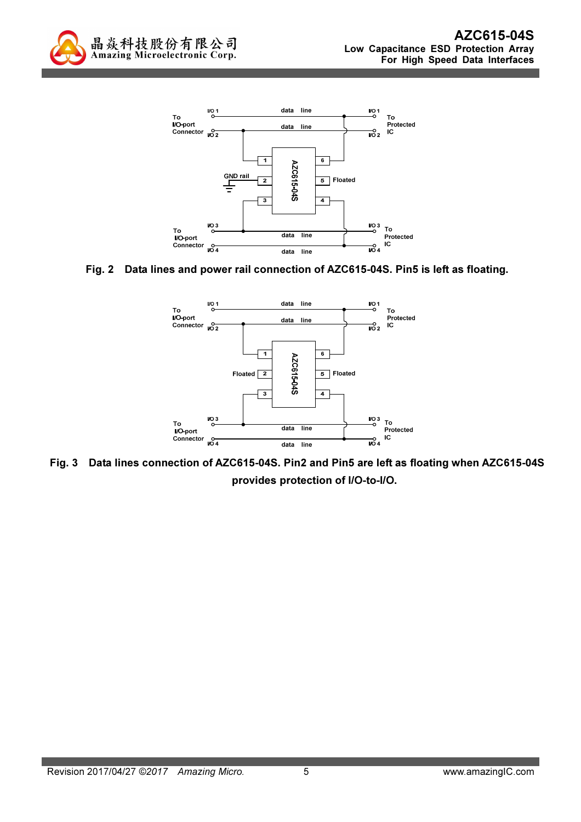



#### Fig. 2 Data lines and power rail connection of AZC615-04S. Pin5 is left as floating.



Fig. 3 Data lines connection of AZC615-04S. Pin2 and Pin5 are left as floating when AZC615-04S provides protection of I/O-to-I/O.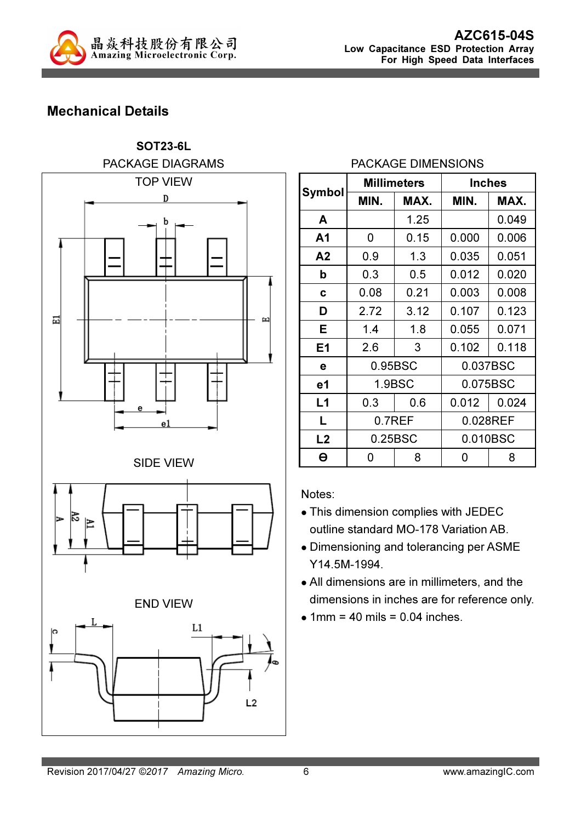

# Mechanical Details



### PACKAGE DIMENSIONS

|                | <b>Millimeters</b> |      | <b>Inches</b> |       |  |
|----------------|--------------------|------|---------------|-------|--|
| Symbol         | MIN.               |      | MIN.          | MAX.  |  |
| A              |                    | 1.25 |               | 0.049 |  |
| A <sub>1</sub> | 0                  | 0.15 | 0.000         | 0.006 |  |
| A <sub>2</sub> | 0.9                | 1.3  | 0.035         | 0.051 |  |
| b              | 0.3                | 0.5  | 0.012         | 0.020 |  |
| C              | 0.08               | 0.21 | 0.003         | 0.008 |  |
| D              | 2.72               | 3.12 | 0.107         | 0.123 |  |
| Е              | 1.4                | 1.8  | 0.055         | 0.071 |  |
| E <sub>1</sub> | 2.6                | 3    | 0.102         | 0.118 |  |
| е              | 0.95BSC            |      | 0.037BSC      |       |  |
| e <sub>1</sub> | 1.9BSC             |      | 0.075BSC      |       |  |
| L1             | 0.3                | 0.6  | 0.012         | 0.024 |  |
| L              | 0.7REF             |      | 0.028REF      |       |  |
| L2             | 0.25BSC            |      | 0.010BSC      |       |  |
| Θ              | 0                  | 8    | 0             | 8     |  |

Notes:

- This dimension complies with JEDEC outline standard MO-178 Variation AB.
- Dimensioning and tolerancing per ASME Y14.5M-1994.
- All dimensions are in millimeters, and the dimensions in inches are for reference only.
- $\bullet$  1mm = 40 mils = 0.04 inches.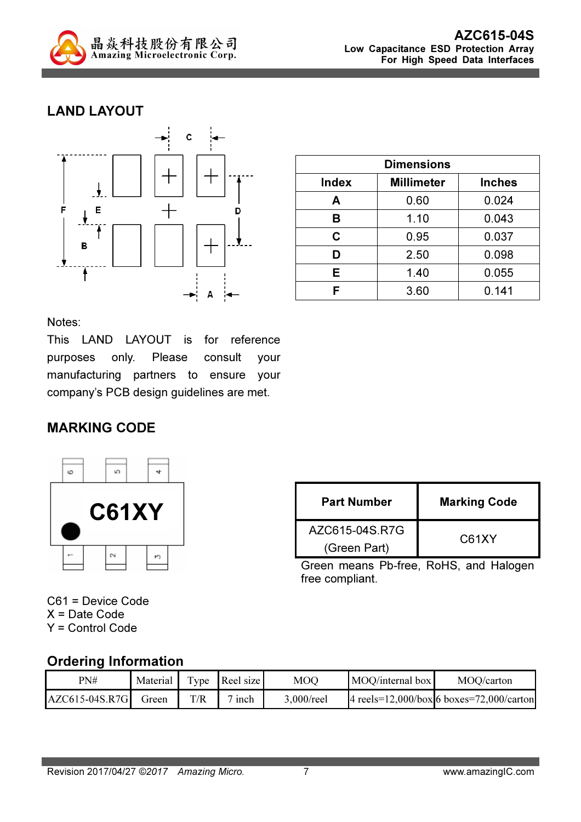

## LAND LAYOUT



| <b>Dimensions</b> |                   |               |  |
|-------------------|-------------------|---------------|--|
| <b>Index</b>      | <b>Millimeter</b> | <b>Inches</b> |  |
| Α                 | 0.60              | 0.024         |  |
| в                 | 1.10              | 0.043         |  |
| C                 | 0.95              | 0.037         |  |
| D                 | 2.50              | 0.098         |  |
| Е                 | 1.40              | 0.055         |  |
| F                 | 3.60              | 0.141         |  |

Notes:

This LAND LAYOUT is for reference purposes only. Please consult your manufacturing partners to ensure your company's PCB design guidelines are met.

### MARKING CODE



| <b>Part Number</b> | <b>Marking Code</b> |  |  |
|--------------------|---------------------|--|--|
| AZC615-04S.R7G     | C61XY               |  |  |
| (Green Part)       |                     |  |  |

Green means Pb-free, RoHS, and Halogen free compliant.

C61 = Device Code X = Date Code Y = Control Code

### Ordering Information

| PN#              | Material 1 |     | Type Reel size | MOQ        | MOO/internal box | MOQ/carton                                      |
|------------------|------------|-----|----------------|------------|------------------|-------------------------------------------------|
| $AZC615-04S.R7G$ | Green      | T/R | inch           | 3,000/reel |                  | 4 reels= $12,000/box$ 6 boxes= $72,000/c$ arton |